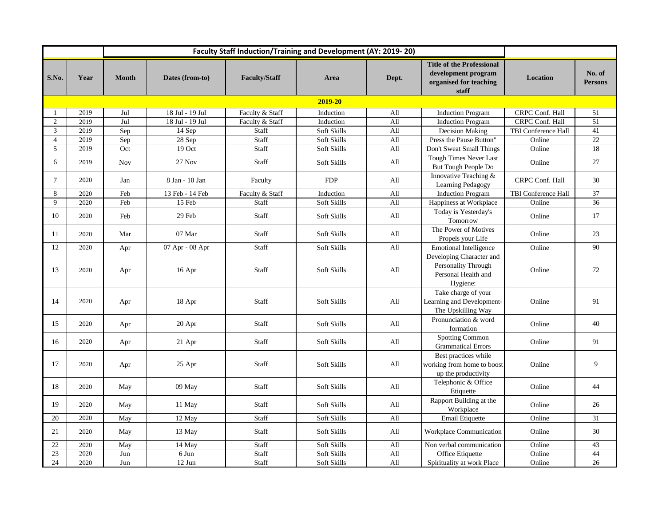|                |         | <b>Faculty Staff Induction/Training and Development (AY: 2019-20)</b> |                 |                      |             |       |                                                                                            |                        |                          |  |  |
|----------------|---------|-----------------------------------------------------------------------|-----------------|----------------------|-------------|-------|--------------------------------------------------------------------------------------------|------------------------|--------------------------|--|--|
| S.No.          | Year    | <b>Month</b>                                                          | Dates (from-to) | <b>Faculty/Staff</b> | Area        | Dept. | <b>Title of the Professional</b><br>development program<br>organised for teaching<br>staff | <b>Location</b>        | No. of<br><b>Persons</b> |  |  |
|                | 2019-20 |                                                                       |                 |                      |             |       |                                                                                            |                        |                          |  |  |
| $\mathbf{1}$   | 2019    | Jul                                                                   | 18 Jul - 19 Jul | Faculty & Staff      | Induction   | All   | <b>Induction Program</b>                                                                   | CRPC Conf. Hall        | 51                       |  |  |
| $\overline{2}$ | 2019    | Jul                                                                   | 18 Jul - 19 Jul | Faculty & Staff      | Induction   | All   | <b>Induction Program</b>                                                                   | <b>CRPC Conf. Hall</b> | $\overline{51}$          |  |  |
| 3              | 2019    | Sep                                                                   | 14 Sep          | Staff                | Soft Skills | All   | Decision Making                                                                            | TBI Conference Hall    | 41                       |  |  |
| $\overline{4}$ | 2019    | Sep                                                                   | 28 Sep          | Staff                | Soft Skills | All   | Press the Pause Button"                                                                    | Online                 | 22                       |  |  |
| 5              | 2019    | Oct                                                                   | 19 Oct          | Staff                | Soft Skills | All   | Don't Sweat Small Things                                                                   | Online                 | $\overline{18}$          |  |  |
| 6              | 2019    | <b>Nov</b>                                                            | $27$ Nov        | Staff                | Soft Skills | All   | Tough Times Never Last<br>But Tough People Do                                              | Online                 | 27                       |  |  |
| $\overline{7}$ | 2020    | Jan                                                                   | 8 Jan - 10 Jan  | Faculty              | <b>FDP</b>  | All   | Innovative Teaching &<br>Learning Pedagogy                                                 | <b>CRPC Conf. Hall</b> | 30                       |  |  |
| 8              | 2020    | Feb                                                                   | 13 Feb - 14 Feb | Faculty & Staff      | Induction   | All   | <b>Induction Program</b>                                                                   | TBI Conference Hall    | 37                       |  |  |
| $\mathbf Q$    | 2020    | Feb                                                                   | 15 Feb          | Staff                | Soft Skills | All   | Happiness at Workplace                                                                     | Online                 | 36                       |  |  |
| 10             | 2020    | Feb                                                                   | 29 Feb          | <b>Staff</b>         | Soft Skills | All   | Today is Yesterday's<br>Tomorrow                                                           | Online                 | 17                       |  |  |
| 11             | 2020    | Mar                                                                   | 07 Mar          | Staff                | Soft Skills | All   | The Power of Motives<br>Propels your Life                                                  | Online                 | 23                       |  |  |
| 12             | 2020    | Apr                                                                   | 07 Apr - 08 Apr | Staff                | Soft Skills | All   | <b>Emotional Intelligence</b>                                                              | Online                 | 90                       |  |  |
| 13             | 2020    | Apr                                                                   | 16 Apr          | Staff                | Soft Skills | All   | Developing Character and<br>Personality Through<br>Personal Health and<br>Hygiene:         | Online                 | 72                       |  |  |
| 14             | 2020    | Apr                                                                   | 18 Apr          | Staff                | Soft Skills | All   | Take charge of your<br>Learning and Development-<br>The Upskilling Way                     | Online                 | 91                       |  |  |
| 15             | 2020    | Apr                                                                   | 20 Apr          | Staff                | Soft Skills | All   | Pronunciation & word<br>formation                                                          | Online                 | 40                       |  |  |
| 16             | 2020    | Apr                                                                   | $21$ Apr        | Staff                | Soft Skills | All   | <b>Spotting Common</b><br><b>Grammatical Errors</b>                                        | Online                 | 91                       |  |  |
| 17             | 2020    | Apr                                                                   | 25 Apr          | Staff                | Soft Skills | All   | Best practices while<br>working from home to boost<br>up the productivity                  | Online                 | 9                        |  |  |
| 18             | 2020    | May                                                                   | 09 May          | Staff                | Soft Skills | All   | Telephonic & Office<br>Etiquette                                                           | Online                 | 44                       |  |  |
| 19             | 2020    | May                                                                   | 11 May          | Staff                | Soft Skills | All   | Rapport Building at the<br>Workplace                                                       | Online                 | 26                       |  |  |
| 20             | 2020    | May                                                                   | 12 May          | Staff                | Soft Skills | All   | Email Etiquette                                                                            | Online                 | 31                       |  |  |
| 21             | 2020    | May                                                                   | 13 May          | <b>Staff</b>         | Soft Skills | All   | Workplace Communication                                                                    | Online                 | 30                       |  |  |
| 22             | 2020    | May                                                                   | 14 May          | Staff                | Soft Skills | All   | Non verbal communication                                                                   | Online                 | 43                       |  |  |
| 23             | 2020    | Jun                                                                   | 6 Jun           | Staff                | Soft Skills | All   | Office Etiquette                                                                           | Online                 | 44                       |  |  |
| 24             | 2020    | Jun                                                                   | 12 Jun          | Staff                | Soft Skills | All   | Spirituality at work Place                                                                 | Online                 | 26                       |  |  |